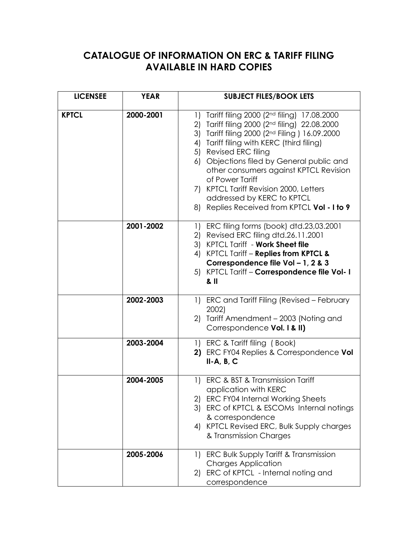## **CATALOGUE OF INFORMATION ON ERC & TARIFF FILING AVAILABLE IN HARD COPIES**

| <b>LICENSEE</b> | <b>YEAR</b> | <b>SUBJECT FILES/BOOK LETS</b>                                                                                                                                                                                                                                                                                                                                                                                                                                      |
|-----------------|-------------|---------------------------------------------------------------------------------------------------------------------------------------------------------------------------------------------------------------------------------------------------------------------------------------------------------------------------------------------------------------------------------------------------------------------------------------------------------------------|
| <b>KPTCL</b>    | 2000-2001   | 1) Tariff filing 2000 (2 <sup>nd</sup> filing) 17.08.2000<br>2) Tariff filing 2000 (2nd filing) 22.08.2000<br>3) Tariff filing 2000 (2nd Filing ) 16.09.2000<br>4) Tariff filing with KERC (third filing)<br>5) Revised ERC filing<br>6) Objections filed by General public and<br>other consumers against KPTCL Revision<br>of Power Tariff<br>7) KPTCL Tariff Revision 2000, Letters<br>addressed by KERC to KPTCL<br>8) Replies Received from KPTCL Vol - I to 9 |
|                 | 2001-2002   | 1) ERC filing forms (book) dtd.23,03.2001<br>2) Revised ERC filing dtd.26.11.2001<br>3) KPTCL Tariff - Work Sheet file<br>4) KPTCL Tariff - Replies from KPTCL &<br>Correspondence file Vol - 1, 2 & 3<br>5) KPTCL Tariff - Correspondence file Vol- I<br>& II                                                                                                                                                                                                      |
|                 | 2002-2003   | 1) ERC and Tariff Filing (Revised – February<br>2002)<br>2) Tariff Amendment – 2003 (Noting and<br>Correspondence Vol. I & II)                                                                                                                                                                                                                                                                                                                                      |
|                 | 2003-2004   | 1) ERC & Tariff filing (Book)<br>2) ERC FY04 Replies & Correspondence Vol<br>$II-A, B, C$                                                                                                                                                                                                                                                                                                                                                                           |
|                 | 2004-2005   | ERC & BST & Transmission Tariff<br>1)<br>application with KERC<br>2) ERC FY04 Internal Working Sheets<br>3) ERC of KPTCL & ESCOMs Internal notings<br>& correspondence<br>4) KPTCL Revised ERC, Bulk Supply charges<br>& Transmission Charges                                                                                                                                                                                                                       |
|                 | 2005-2006   | 1) ERC Bulk Supply Tariff & Transmission<br><b>Charges Application</b><br>2) ERC of KPTCL - Internal noting and<br>correspondence                                                                                                                                                                                                                                                                                                                                   |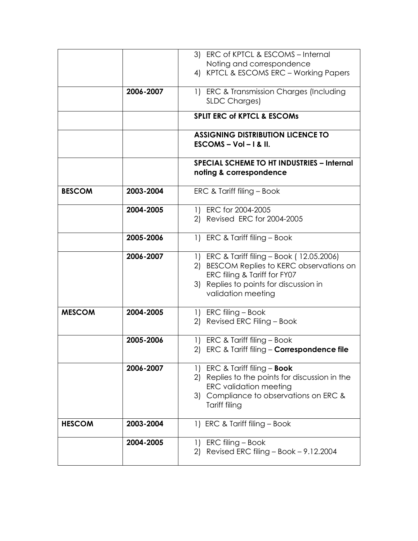|               |           | 3) ERC of KPTCL & ESCOMS - Internal                                                                                                                                                     |
|---------------|-----------|-----------------------------------------------------------------------------------------------------------------------------------------------------------------------------------------|
|               |           | Noting and correspondence                                                                                                                                                               |
|               |           | 4) KPTCL & ESCOMS ERC - Working Papers                                                                                                                                                  |
|               | 2006-2007 | 1) ERC & Transmission Charges (Including<br><b>SLDC Charges)</b>                                                                                                                        |
|               |           | <b>SPLIT ERC of KPTCL &amp; ESCOMS</b>                                                                                                                                                  |
|               |           | <b>ASSIGNING DISTRIBUTION LICENCE TO</b><br>$ESCOMS - Vol - I & II.$                                                                                                                    |
|               |           | <b>SPECIAL SCHEME TO HT INDUSTRIES - Internal</b><br>noting & correspondence                                                                                                            |
| <b>BESCOM</b> | 2003-2004 | ERC & Tariff filing - Book                                                                                                                                                              |
|               | 2004-2005 | 1) ERC for 2004-2005<br>2) Revised ERC for 2004-2005                                                                                                                                    |
|               | 2005-2006 | 1) ERC & Tariff filing - Book                                                                                                                                                           |
|               | 2006-2007 | 1) ERC & Tariff filing - Book (12.05.2006)<br>2) BESCOM Replies to KERC observations on<br>ERC filing & Tariff for FY07<br>3) Replies to points for discussion in<br>validation meeting |
| <b>MESCOM</b> | 2004-2005 | 1) ERC filing - Book<br>2) Revised ERC Filing - Book                                                                                                                                    |
|               | 2005-2006 | 1) ERC & Tariff filing - Book<br>2) ERC & Tariff filing - Correspondence file                                                                                                           |
|               | 2006-2007 | 1) ERC & Tariff filing - <b>Book</b><br>2) Replies to the points for discussion in the<br><b>ERC</b> validation meeting<br>3) Compliance to observations on ERC &<br>Tariff filing      |
| <b>HESCOM</b> | 2003-2004 | 1) ERC & Tariff filing - Book                                                                                                                                                           |
|               | 2004-2005 | 1) ERC filing – Book<br>Revised ERC filing - Book - 9.12.2004<br>2)                                                                                                                     |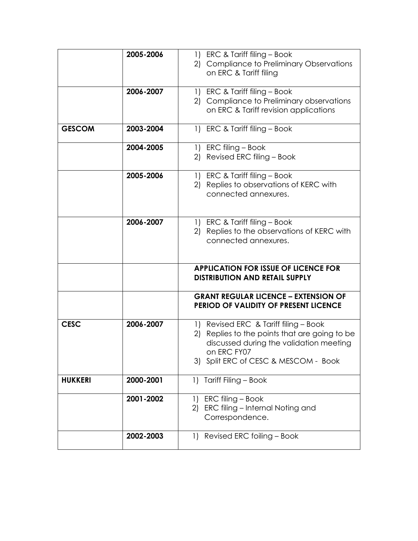|                | 2005-2006 | 1) ERC & Tariff filing - Book<br>2) Compliance to Preliminary Observations                                                                                                               |
|----------------|-----------|------------------------------------------------------------------------------------------------------------------------------------------------------------------------------------------|
|                |           | on ERC & Tariff filing                                                                                                                                                                   |
|                | 2006-2007 | 1) ERC & Tariff filing - Book<br>2) Compliance to Preliminary observations<br>on ERC & Tariff revision applications                                                                      |
| <b>GESCOM</b>  | 2003-2004 | 1) ERC & Tariff filing - Book                                                                                                                                                            |
|                | 2004-2005 | 1) ERC filing - Book<br>2) Revised ERC filing - Book                                                                                                                                     |
|                | 2005-2006 | 1) ERC & Tariff filing - Book<br>2) Replies to observations of KERC with<br>connected annexures.                                                                                         |
|                | 2006-2007 | 1) ERC & Tariff filing - Book<br>Replies to the observations of KERC with<br>2)<br>connected annexures.                                                                                  |
|                |           | <b>APPLICATION FOR ISSUE OF LICENCE FOR</b><br><b>DISTRIBUTION AND RETAIL SUPPLY</b>                                                                                                     |
|                |           | <b>GRANT REGULAR LICENCE - EXTENSION OF</b><br>PERIOD OF VALIDITY OF PRESENT LICENCE                                                                                                     |
| <b>CESC</b>    | 2006-2007 | 1) Revised ERC & Tariff filing - Book<br>2) Replies to the points that are going to be<br>discussed during the validation meeting<br>on ERC FY07<br>3) Split ERC of CESC & MESCOM - Book |
| <b>HUKKERI</b> | 2000-2001 | Tariff Filing - Book<br>$\left  \right $                                                                                                                                                 |
|                | 2001-2002 | ERC filing - Book<br>1)<br>ERC filing - Internal Noting and<br>2)<br>Correspondence.                                                                                                     |
|                | 2002-2003 | 1) Revised ERC foiling - Book                                                                                                                                                            |